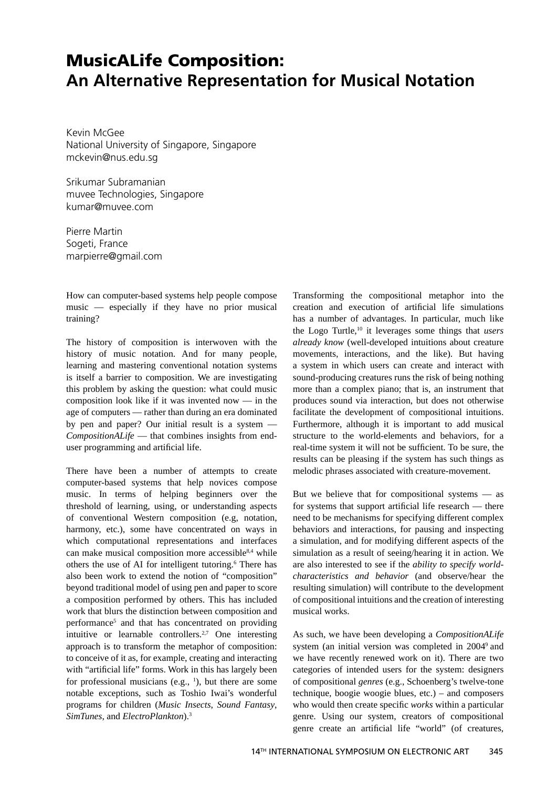## **MusicALife Composition: An Alternative Representation for Musical Notation**

Kevin McGee National University of Singapore, Singapore mckevin@nus.edu.sg

Srikumar Subramanian muvee Technologies, Singapore kumar@muvee.com

Pierre Martin Sogeti, France marpierre@gmail.com

How can computer-based systems help people compose music — especially if they have no prior musical training?

The history of composition is interwoven with the history of music notation. And for many people, learning and mastering conventional notation systems is itself a barrier to composition. We are investigating this problem by asking the question: what could music composition look like if it was invented now — in the age of computers — rather than during an era dominated by pen and paper? Our initial result is a system — *CompositionALife* — that combines insights from enduser programming and artificial life.

There have been a number of attempts to create computer-based systems that help novices compose music. In terms of helping beginners over the threshold of learning, using, or understanding aspects of conventional Western composition (e.g, notation, harmony, etc.), some have concentrated on ways in which computational representations and interfaces can make musical composition more accessible<sup>8,4</sup> while others the use of AI for intelligent tutoring.<sup>6</sup> There has also been work to extend the notion of "composition" beyond traditional model of using pen and paper to score a composition performed by others. This has included work that blurs the distinction between composition and performance<sup>5</sup> and that has concentrated on providing intuitive or learnable controllers.<sup>2,7</sup> One interesting approach is to transform the metaphor of composition: to conceive of it as, for example, creating and interacting with "artificial life" forms. Work in this has largely been for professional musicians (e.g.,  $\frac{1}{1}$ ), but there are some notable exceptions, such as Toshio Iwai's wonderful programs for children (*Music Insects*, *Sound Fantasy*, *SimTunes*, and *ElectroPlankton*).3

Transforming the compositional metaphor into the creation and execution of artificial life simulations has a number of advantages. In particular, much like the Logo Turtle,10 it leverages some things that *users already know* (well-developed intuitions about creature movements, interactions, and the like). But having a system in which users can create and interact with sound-producing creatures runs the risk of being nothing more than a complex piano; that is, an instrument that produces sound via interaction, but does not otherwise facilitate the development of compositional intuitions. Furthermore, although it is important to add musical structure to the world-elements and behaviors, for a real-time system it will not be sufficient. To be sure, the results can be pleasing if the system has such things as melodic phrases associated with creature-movement.

But we believe that for compositional systems — as for systems that support artificial life research  $-$  there need to be mechanisms for specifying different complex behaviors and interactions, for pausing and inspecting a simulation, and for modifying different aspects of the simulation as a result of seeing/hearing it in action. We are also interested to see if the *ability to specify worldcharacteristics and behavior* (and observe/hear the resulting simulation) will contribute to the development of compositional intuitions and the creation of interesting musical works.

As such, we have been developing a *CompositionALife* system (an initial version was completed in 2004<sup>9</sup> and we have recently renewed work on it). There are two categories of intended users for the system: designers of compositional *genres* (e.g., Schoenberg's twelve-tone technique, boogie woogie blues, etc.) – and composers who would then create specific *works* within a particular genre. Using our system, creators of compositional genre create an artificial life "world" (of creatures,